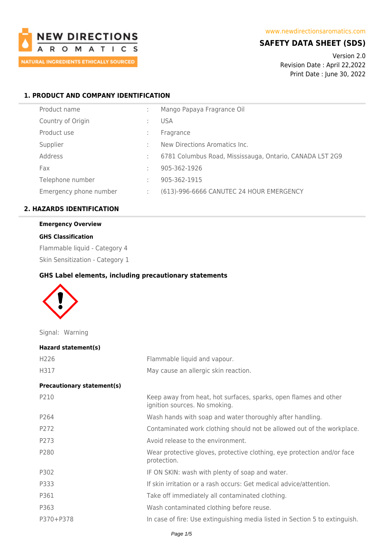

### **SAFETY DATA SHEET (SDS)**

Version 2.0 Revision Date : April 22,2022 Print Date : June 30, 2022

### **1. PRODUCT AND COMPANY IDENTIFICATION**

| Product name           |   | Mango Papaya Fragrance Oil                               |
|------------------------|---|----------------------------------------------------------|
| Country of Origin      |   | <b>USA</b>                                               |
| Product use            |   | Fragrance                                                |
| Supplier               |   | New Directions Aromatics Inc.                            |
| Address                |   | 6781 Columbus Road, Mississauga, Ontario, CANADA L5T 2G9 |
| Fax                    | ÷ | 905-362-1926                                             |
| Telephone number       |   | 905-362-1915                                             |
| Emergency phone number |   | (613)-996-6666 CANUTEC 24 HOUR EMERGENCY                 |
|                        |   |                                                          |

## **2. HAZARDS IDENTIFICATION**

# **Emergency Overview**

### **GHS Classification**

Flammable liquid - Category 4

Skin Sensitization - Category 1

### **GHS Label elements, including precautionary statements**



Signal: Warning

| Hazard statement(s)               |                                                                                                   |
|-----------------------------------|---------------------------------------------------------------------------------------------------|
| H <sub>226</sub>                  | Flammable liquid and vapour.                                                                      |
| H317                              | May cause an allergic skin reaction.                                                              |
| <b>Precautionary statement(s)</b> |                                                                                                   |
| P210                              | Keep away from heat, hot surfaces, sparks, open flames and other<br>ignition sources. No smoking. |
| P264                              | Wash hands with soap and water thoroughly after handling.                                         |
| P272                              | Contaminated work clothing should not be allowed out of the workplace.                            |
| P273                              | Avoid release to the environment.                                                                 |
| P280                              | Wear protective gloves, protective clothing, eye protection and/or face<br>protection.            |
| P302                              | IF ON SKIN: wash with plenty of soap and water.                                                   |
| P333                              | If skin irritation or a rash occurs: Get medical advice/attention.                                |
| P361                              | Take off immediately all contaminated clothing.                                                   |
| P363                              | Wash contaminated clothing before reuse.                                                          |
| P370+P378                         | In case of fire: Use extinguishing media listed in Section 5 to extinguish.                       |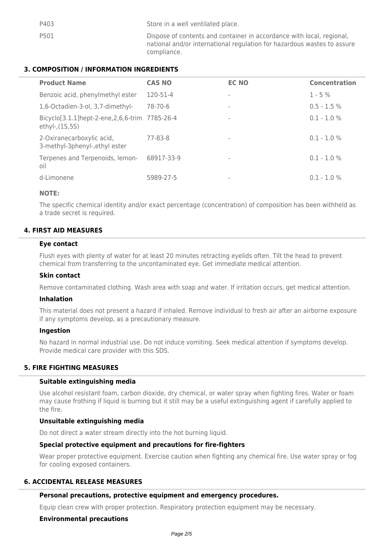| P403 | Store in a well ventilated place.                                                                                                                               |
|------|-----------------------------------------------------------------------------------------------------------------------------------------------------------------|
| P501 | Dispose of contents and container in accordance with local, regional,<br>national and/or international regulation for hazardous wastes to assure<br>compliance. |

### **3. COMPOSITION / INFORMATION INGREDIENTS**

| <b>Product Name</b>                                                 | <b>CAS NO</b> | <b>EC NO</b>             | <b>Concentration</b> |
|---------------------------------------------------------------------|---------------|--------------------------|----------------------|
| Benzoic acid, phenylmethyl ester                                    | 120-51-4      | $\overline{\phantom{a}}$ | $1 - 5\%$            |
| 1,6-Octadien-3-ol, 3,7-dimethyl-                                    | 78-70-6       | $\,$                     | $0.5 - 1.5 %$        |
| Bicyclo[3.1.1]hept-2-ene, 2, 6, 6-trim 7785-26-4<br>ethyl-, (1S,5S) |               | $\overline{\phantom{a}}$ | $0.1 - 1.0 %$        |
| 2-Oxiranecarboxylic acid,<br>3-methyl-3phenyl-, ethyl ester         | 77-83-8       | $\sim$                   | $0.1 - 1.0 \%$       |
| Terpenes and Terpenoids, lemon-<br>oil                              | 68917-33-9    | $\overline{\phantom{a}}$ | $0.1 - 1.0 \%$       |
| d-Limonene                                                          | 5989-27-5     | $\overline{\phantom{a}}$ | $0.1 - 1.0 \%$       |

### **NOTE:**

The specific chemical identity and/or exact percentage (concentration) of composition has been withheld as a trade secret is required.

### **4. FIRST AID MEASURES**

### **Eye contact**

Flush eyes with plenty of water for at least 20 minutes retracting eyelids often. Tilt the head to prevent chemical from transferring to the uncontaminated eye. Get immediate medical attention.

### **Skin contact**

Remove contaminated clothing. Wash area with soap and water. If irritation occurs, get medical attention.

### **Inhalation**

This material does not present a hazard if inhaled. Remove individual to fresh air after an airborne exposure if any symptoms develop, as a precautionary measure.

#### **Ingestion**

No hazard in normal industrial use. Do not induce vomiting. Seek medical attention if symptoms develop. Provide medical care provider with this SDS.

### **5. FIRE FIGHTING MEASURES**

### **Suitable extinguishing media**

Use alcohol resistant foam, carbon dioxide, dry chemical, or water spray when fighting fires. Water or foam may cause frothing if liquid is burning but it still may be a useful extinguishing agent if carefully applied to the fire.

### **Unsuitable extinguishing media**

Do not direct a water stream directly into the hot burning liquid.

### **Special protective equipment and precautions for fire-fighters**

Wear proper protective equipment. Exercise caution when fighting any chemical fire. Use water spray or fog for cooling exposed containers.

### **6. ACCIDENTAL RELEASE MEASURES**

#### **Personal precautions, protective equipment and emergency procedures.**

Equip clean crew with proper protection. Respiratory protection equipment may be necessary.

### **Environmental precautions**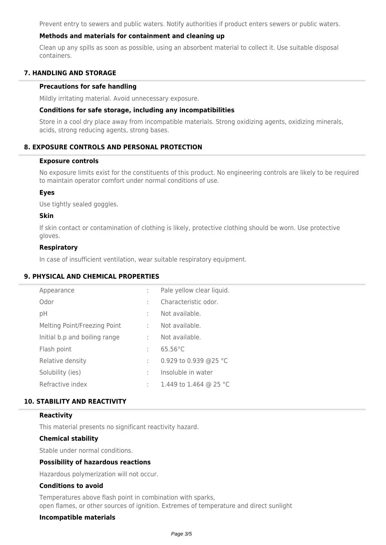Prevent entry to sewers and public waters. Notify authorities if product enters sewers or public waters.

### **Methods and materials for containment and cleaning up**

Clean up any spills as soon as possible, using an absorbent material to collect it. Use suitable disposal containers.

### **7. HANDLING AND STORAGE**

#### **Precautions for safe handling**

Mildly irritating material. Avoid unnecessary exposure.

#### **Conditions for safe storage, including any incompatibilities**

Store in a cool dry place away from incompatible materials. Strong oxidizing agents, oxidizing minerals, acids, strong reducing agents, strong bases.

### **8. EXPOSURE CONTROLS AND PERSONAL PROTECTION**

#### **Exposure controls**

No exposure limits exist for the constituents of this product. No engineering controls are likely to be required to maintain operator comfort under normal conditions of use.

#### **Eyes**

Use tightly sealed goggles.

#### **Skin**

If skin contact or contamination of clothing is likely, protective clothing should be worn. Use protective gloves.

#### **Respiratory**

In case of insufficient ventilation, wear suitable respiratory equipment.

### **9. PHYSICAL AND CHEMICAL PROPERTIES**

| Appearance                    | ÷  | Pale yellow clear liquid. |
|-------------------------------|----|---------------------------|
| Odor                          | ÷. | Characteristic odor.      |
| pH                            | ÷. | Not available.            |
| Melting Point/Freezing Point  | ÷  | Not available.            |
| Initial b.p and boiling range | ÷  | Not available.            |
| Flash point                   | ÷  | $65.56^{\circ}$ C         |
| Relative density              | ÷  | 0.929 to 0.939 @25 °C     |
| Solubility (ies)              | ÷  | Insoluble in water        |
| Refractive index              | ÷. | 1.449 to 1.464 @ 25 °C    |
|                               |    |                           |

## **10. STABILITY AND REACTIVITY**

#### **Reactivity**

This material presents no significant reactivity hazard.

### **Chemical stability**

Stable under normal conditions.

#### **Possibility of hazardous reactions**

Hazardous polymerization will not occur.

### **Conditions to avoid**

Temperatures above flash point in combination with sparks, open flames, or other sources of ignition. Extremes of temperature and direct sunlight

#### **Incompatible materials**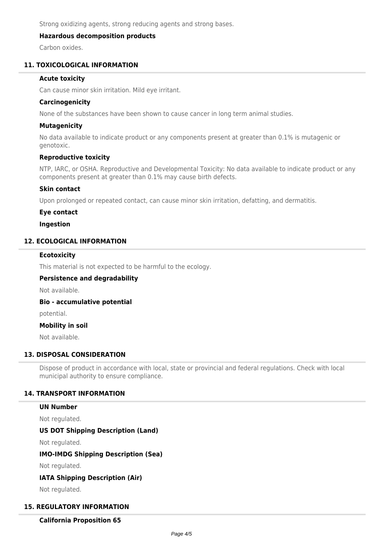Strong oxidizing agents, strong reducing agents and strong bases.

### **Hazardous decomposition products**

Carbon oxides.

### **11. TOXICOLOGICAL INFORMATION**

#### **Acute toxicity**

Can cause minor skin irritation. Mild eye irritant.

#### **Carcinogenicity**

None of the substances have been shown to cause cancer in long term animal studies.

### **Mutagenicity**

No data available to indicate product or any components present at greater than 0.1% is mutagenic or genotoxic.

### **Reproductive toxicity**

NTP, IARC, or OSHA. Reproductive and Developmental Toxicity: No data available to indicate product or any components present at greater than 0.1% may cause birth defects.

#### **Skin contact**

Upon prolonged or repeated contact, can cause minor skin irritation, defatting, and dermatitis.

#### **Eye contact**

#### **Ingestion**

### **12. ECOLOGICAL INFORMATION**

#### **Ecotoxicity**

This material is not expected to be harmful to the ecology.

#### **Persistence and degradability**

Not available.

**Bio - accumulative potential**

potential.

#### **Mobility in soil**

Not available.

### **13. DISPOSAL CONSIDERATION**

Dispose of product in accordance with local, state or provincial and federal regulations. Check with local municipal authority to ensure compliance.

### **14. TRANSPORT INFORMATION**

### **UN Number**

Not regulated.

### **US DOT Shipping Description (Land)**

Not regulated.

#### **IMO-IMDG Shipping Description (Sea)**

Not regulated.

### **IATA Shipping Description (Air)**

Not regulated.

### **15. REGULATORY INFORMATION**

**California Proposition 65**